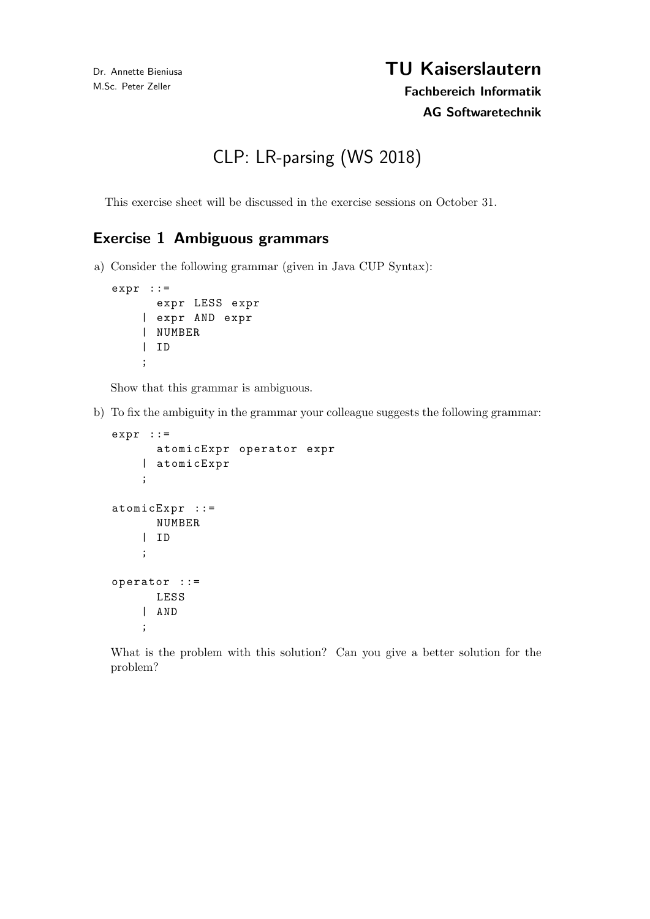# TU Kaiserslautern Fachbereich Informatik

## AG Softwaretechnik

CLP: LR-parsing (WS 2018)

This exercise sheet will be discussed in the exercise sessions on October 31.

## Exercise 1 Ambiguous grammars

a) Consider the following grammar (given in Java CUP Syntax):

```
expr : :=expr LESS expr
    | expr AND expr
    | NUMBER
    | ID
    ;
```
Show that this grammar is ambiguous.

b) To fix the ambiguity in the grammar your colleague suggests the following grammar:

```
expr : :=atomicExpr operator expr
    | atomicExpr
    ;
atomicExpr ::=
      NUMBER
    | ID
    ;
operator ::=
      LESS
    | AND
    ;
```
What is the problem with this solution? Can you give a better solution for the problem?